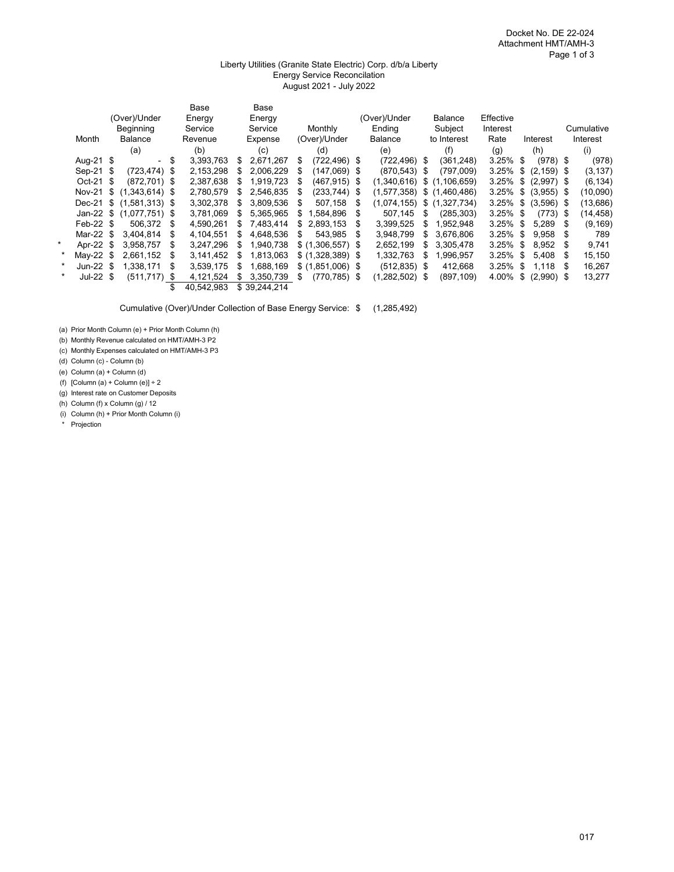#### Liberty Utilities (Granite State Electric) Corp. d/b/a Liberty Energy Service Reconcilation August 2021 - July 2022

|         |               |      |                          |      | Base       |    | Base         |     |                    |      |                 |      |                |             |     |               |      |            |
|---------|---------------|------|--------------------------|------|------------|----|--------------|-----|--------------------|------|-----------------|------|----------------|-------------|-----|---------------|------|------------|
|         |               |      | (Over)/Under             |      | Energy     |    | Energy       |     |                    |      | (Over)/Under    |      | <b>Balance</b> | Effective   |     |               |      |            |
|         |               |      | Beginning                |      | Service    |    | Service      |     | Monthly            |      | Ending          |      | Subject        | Interest    |     |               |      | Cumulative |
|         | Month         |      | Balance                  |      | Revenue    |    | Expense      |     | (Over)/Under       |      | Balance         |      | to Interest    | Rate        |     | Interest      |      | Interest   |
|         |               |      | (a)                      |      | (b)        |    | (c)          |     | (d)                |      | (e)             |      | (f)            | (g)         |     | (h)           |      | (i)        |
|         | Aug-21 \$     |      |                          | \$   | 3,393,763  | \$ | 2,671,267    | S   | $(722, 496)$ \$    |      | $(722, 496)$ \$ |      | (361, 248)     | $3.25\%$ \$ |     | $(978)$ \$    |      | (978)      |
|         | Sep-21 \$     |      | (723, 474)               | S    | 2,153,298  |    | 2,006,229    | \$. | $(147,069)$ \$     |      | $(870, 543)$ \$ |      | (797,009)      | 3.25%       | \$  | $(2, 159)$ \$ |      | (3, 137)   |
|         | Oct-21 \$     |      | (872.701)                | \$   | 2,387,638  |    | 1.919.723    | \$. | $(467, 915)$ \$    |      | (1,340,616)     | \$   | (1, 106, 659)  | 3.25%       | \$  | $(2,997)$ \$  |      | (6, 134)   |
|         | <b>Nov-21</b> | \$   | (1,343,614)              | - \$ | 2,780,579  | \$ | 2,546,835    | \$. | $(233,744)$ \$     |      | (1,577,358)     | \$   | (1,460,486)    | 3.25%       | \$  | $(3,955)$ \$  |      | (10,090)   |
|         |               |      | Dec-21 \$ (1,581,313) \$ |      | 3,302,378  | S  | 3.809.536    | S   | 507,158            | -S   | (1.074.155)     |      | \$(1,327,734)  | 3.25%       | \$  | $(3,596)$ \$  |      | (13, 686)  |
|         |               |      | Jan-22 \$ (1,077,751) \$ |      | 3,781,069  | S  | 5,365,965    | S   | .584,896           | - 5  | 507.145         | S    | (285,303)      | 3.25%       | -\$ | $(773)$ \$    |      | (14,458)   |
|         | Feb-22 \$     |      | 506.372                  | S    | 4.590.261  | S. | 7.483.414    | S   | 2.893.153          | S    | 3,399,525       | \$   | .952.948       | 3.25%       | \$  | 5.289         | - \$ | (9, 169)   |
|         | Mar-22 \$     |      | 3.404.814                | S    | 4.104.551  | \$ | 4.648.536    | S   | 543.985            | S    | 3.948.799       | S    | 3.676.806      | 3.25%       | S   | 9.958         | - 35 | 789        |
|         | Apr-22        | - \$ | 3.958.757                | S    | 3,247,296  | S  | 1.940.738    |     | $$(1,306,557)$ \;  |      | 2,652,199       | S    | 3,305,478      | 3.25%       | S   | 8,952         | - 35 | 9,741      |
| $\star$ | May-22 \$     |      | 2.661.152                | S    | 3,141,452  | S  | 1.813.063    |     | $$ (1,328,389)$ \; |      | 1,332,763       | \$   | 1,996,957      | 3.25%       | \$. | 5.408         | \$.  | 15,150     |
| $\star$ | Jun-22 $$$    |      | 1.338.171                | S    | 3,539,175  | S  | 1,688,169    |     | $$(1,851,006)$ \$  |      | $(512, 835)$ \$ |      | 412,668        | 3.25%       | S   | 1,118         | \$.  | 16,267     |
| $\star$ | Jul-22 $$$    |      | $(511, 717)$ \$          |      | 4,121,524  |    | 3.350.739    | \$  | (770, 785)         | - \$ | (1,282,502)     | - \$ | (897, 109)     | 4.00%       | \$  | $(2,990)$ \$  |      | 13,277     |
|         |               |      |                          | S    | 40,542,983 |    | \$39.244.214 |     |                    |      |                 |      |                |             |     |               |      |            |

Cumulative (Over)/Under Collection of Base Energy Service: \$ (1,285,492)

(a) Prior Month Column (e) + Prior Month Column (h)

(b) Monthly Revenue calculated on HMT/AMH-3 P2

(c) Monthly Expenses calculated on HMT/AMH-3 P3

(d) Column (c) - Column (b)

(e) Column (a) + Column (d)

(f)  $[Column (a) + Column (e)] + 2$ 

(g) Interest rate on Customer Deposits

(h) Column (f) x Column (g) / 12

(i) Column (h) + Prior Month Column (i)

\* Projection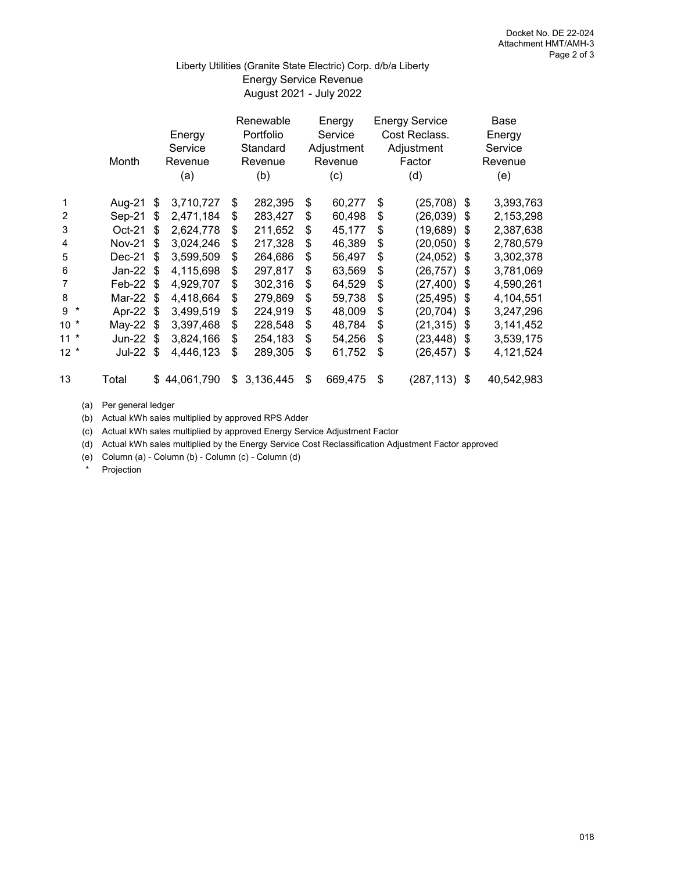# August 2021 - July 2022 Liberty Utilities (Granite State Electric) Corp. d/b/a Liberty Energy Service Revenue

|                | Month         |            | Energy<br>Service<br>Revenue<br>(a) | Renewable<br>Portfolio<br>Standard<br>Revenue<br>(b) | Energy<br>Service<br>Adjustment<br>Revenue<br>(c) | <b>Energy Service</b><br>Cost Reclass.<br>Adjustment<br>Factor<br>(d) | Base<br>Energy<br>Service<br>Revenue<br>(e) |
|----------------|---------------|------------|-------------------------------------|------------------------------------------------------|---------------------------------------------------|-----------------------------------------------------------------------|---------------------------------------------|
| 1              | Aug-21        | \$         | 3,710,727                           | \$<br>282,395                                        | \$<br>60,277                                      | \$<br>(25, 708)                                                       | \$<br>3,393,763                             |
| 2              | Sep-21        | \$         | 2,471,184                           | \$<br>283,427                                        | \$<br>60,498                                      | \$<br>(26, 039)                                                       | \$<br>2,153,298                             |
| 3              | $Oct-21$      | \$         | 2,624,778                           | \$<br>211,652                                        | \$<br>45,177                                      | \$<br>(19, 689)                                                       | \$<br>2,387,638                             |
| 4              | <b>Nov-21</b> | \$         | 3,024,246                           | \$<br>217,328                                        | \$<br>46,389                                      | \$<br>(20, 050)                                                       | \$<br>2,780,579                             |
| 5              | Dec-21        | \$         | 3,599,509                           | \$<br>264,686                                        | \$<br>56,497                                      | \$<br>(24, 052)                                                       | \$<br>3,302,378                             |
| 6              | Jan-22        | \$         | 4,115,698                           | \$<br>297,817                                        | \$<br>63,569                                      | \$<br>(26, 757)                                                       | \$<br>3,781,069                             |
| $\overline{7}$ | Feb-22        | $\sqrt{2}$ | 4,929,707                           | \$<br>302,316                                        | \$<br>64,529                                      | \$<br>(27, 400)                                                       | \$<br>4,590,261                             |
| 8              | Mar-22        | \$         | 4,418,664                           | \$<br>279,869                                        | \$<br>59,738                                      | \$<br>(25, 495)                                                       | \$<br>4,104,551                             |
| $9 *$          | Apr-22        | \$         | 3,499,519                           | \$<br>224,919                                        | \$<br>48,009                                      | \$<br>(20, 704)                                                       | \$<br>3,247,296                             |
| $10 *$         | May-22        | S          | 3,397,468                           | \$<br>228,548                                        | \$<br>48,784                                      | \$<br>(21, 315)                                                       | \$<br>3,141,452                             |
| $11 *$         | Jun-22 \$     |            | 3,824,166                           | \$<br>254,183                                        | \$<br>54,256                                      | \$<br>(23, 448)                                                       | \$<br>3,539,175                             |
| $12 *$         | Jul-22        | -\$        | 4,446,123                           | \$<br>289,305                                        | \$<br>61,752                                      | \$<br>(26, 457)                                                       | \$<br>4,121,524                             |
| 13             | Total         |            | \$44,061,790                        | \$<br>3,136,445                                      | \$<br>669,475                                     | \$<br>(287, 113)                                                      | \$<br>40,542,983                            |

(a) Per general ledger

(b) Actual kWh sales multiplied by approved RPS Adder

(c) Actual kWh sales multiplied by approved Energy Service Adjustment Factor

(d) Actual kWh sales multiplied by the Energy Service Cost Reclassification Adjustment Factor approved

(e) Column (a) - Column (b) - Column (c) - Column (d)

\* Projection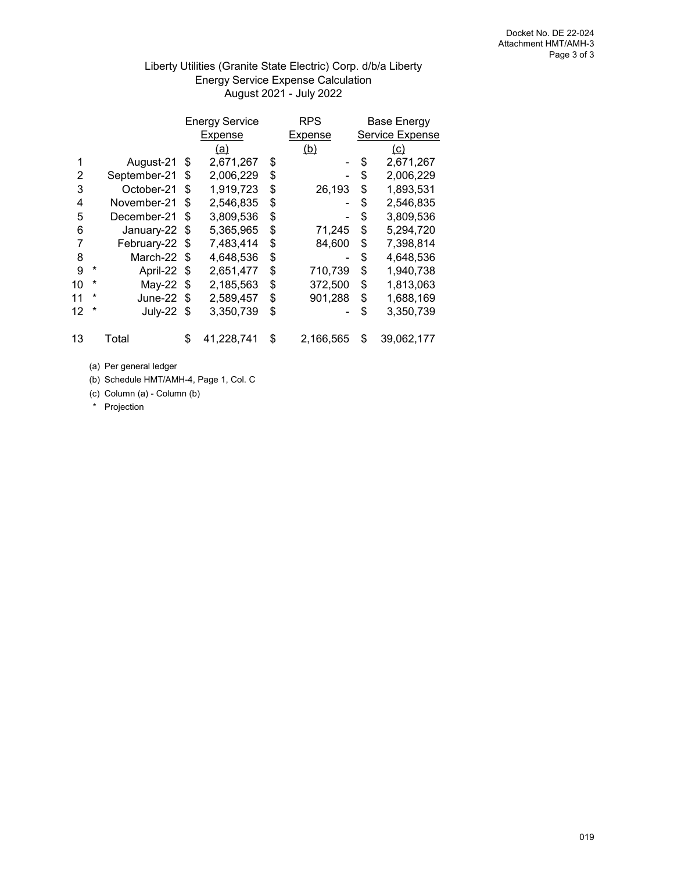# Liberty Utilities (Granite State Electric) Corp. d/b/a Liberty Energy Service Expense Calculation August 2021 - July 2022

|    |         |              |    | <b>Energy Service</b> | <b>RPS</b>      | <b>Base Energy</b> |
|----|---------|--------------|----|-----------------------|-----------------|--------------------|
|    |         |              |    | Expense               | Expense         | Service Expense    |
|    |         |              |    | <u>(a)</u>            | (b)             | <u>(c)</u>         |
|    |         | August-21    | S  | 2,671,267             | \$              | \$<br>2,671,267    |
| 2  |         | September-21 | \$ | 2,006,229             | \$              | \$<br>2,006,229    |
| 3  |         | October-21   | \$ | 1,919,723             | \$<br>26,193    | \$<br>1,893,531    |
| 4  |         | November-21  | \$ | 2,546,835             | \$              | \$<br>2,546,835    |
| 5  |         | December-21  | \$ | 3,809,536             | \$              | \$<br>3,809,536    |
| 6  |         | January-22   | S  | 5,365,965             | \$<br>71,245    | \$<br>5,294,720    |
| 7  |         | February-22  | S  | 7,483,414             | \$<br>84,600    | \$<br>7,398,814    |
| 8  |         | March-22     | \$ | 4,648,536             | \$              | \$<br>4,648,536    |
| 9  | $^\ast$ | April-22     | S  | 2,651,477             | \$<br>710,739   | \$<br>1,940,738    |
| 10 | *       | May-22       | \$ | 2,185,563             | \$<br>372,500   | \$<br>1,813,063    |
| 11 | *       | June-22      | \$ | 2,589,457             | \$<br>901,288   | \$<br>1,688,169    |
| 12 | *       | July-22      | S  | 3,350,739             | \$              | \$<br>3,350,739    |
| 13 |         | Total        | \$ | 41,228,741            | \$<br>2,166,565 | \$<br>39,062,177   |

(a) Per general ledger

(b) Schedule HMT/AMH-4, Page 1, Col. C

(c) Column (a) - Column (b)

\* Projection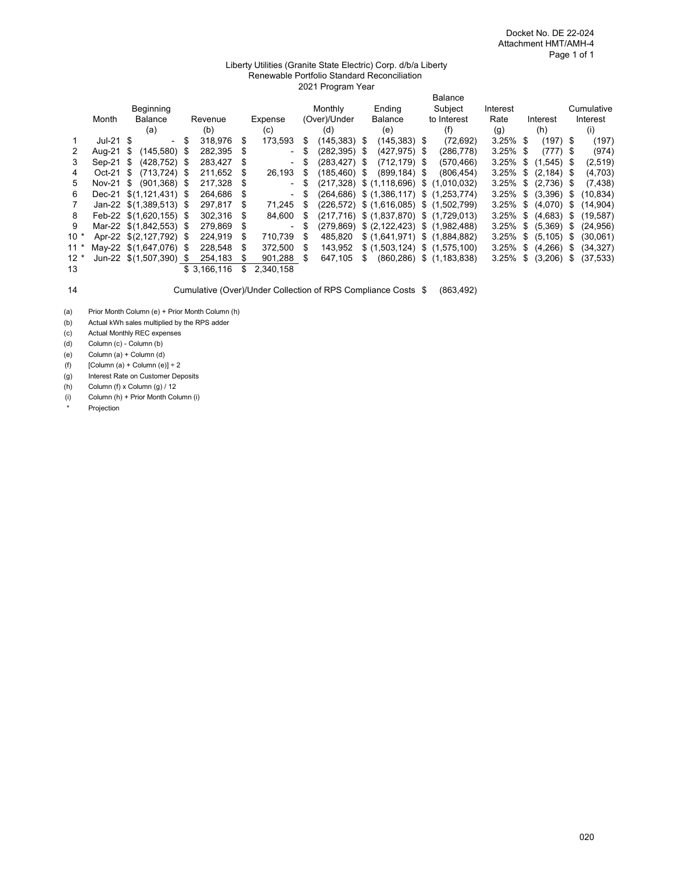#### Liberty Utilities (Granite State Electric) Corp. d/b/a Liberty Renewable Portfolio Standard Reconciliation 2021 Program Year

|        |             |                         |      |             |    |                          | <b>Balance</b> |                 |   |                                 |  |                                                    |             |    |               |  |            |
|--------|-------------|-------------------------|------|-------------|----|--------------------------|----------------|-----------------|---|---------------------------------|--|----------------------------------------------------|-------------|----|---------------|--|------------|
|        |             | Beginning               |      |             |    |                          |                | Monthly         |   | Endina                          |  | Subject                                            | Interest    |    |               |  | Cumulative |
|        | Month       | <b>Balance</b>          |      | Revenue     |    | Expense                  |                | (Over)/Under    |   | <b>Balance</b>                  |  | to Interest                                        | Rate        |    | Interest      |  | Interest   |
|        |             | (a)                     |      | (b)         |    | (c)                      |                | (d)             |   | (e)                             |  | (f)                                                | (g)         |    | (h)           |  | (i)        |
|        | $Jul-21$ \$ | - \$                    |      | 318,976     | S  | 173,593                  | S              | $(145, 383)$ \$ |   | $(145, 383)$ \$                 |  | (72, 692)                                          | $3.25\%$ \$ |    | $(197)$ \$    |  | (197)      |
|        | Aug-21      | (145, 580)<br>- \$      | - \$ | 282,395     | \$ |                          | \$             | (282,395) \$    |   | $(427, 975)$ \$                 |  | (286, 778)                                         | $3.25\%$ \$ |    | $(777)$ \$    |  | (974)      |
| 3      | Sep-21      | $(428.752)$ \$<br>- \$  |      | 283.427     | S  | $\blacksquare$           | \$             | $(283.427)$ \$  |   | $(712, 179)$ \$                 |  | (570, 466)                                         | 3.25%       | \$ | $(1,545)$ \$  |  | (2,519)    |
| 4      | $Oct-21$    | $(713, 724)$ \$<br>- \$ |      | 211,652     | S  | 26,193                   | S              | $(185, 460)$ \$ |   | $(899, 184)$ \$                 |  | (806, 454)                                         | 3.25%       | \$ | $(2, 184)$ \$ |  | (4,703)    |
| 5.     | Nov-21 $$$  | $(901,368)$ \$          |      | 217,328     |    |                          |                |                 |   | $(217,328)$ \$ $(1,118,696)$ \$ |  | (1.010.032)                                        | 3.25%       | \$ | $(2,736)$ \$  |  | (7, 438)   |
| 6      |             | Dec-21 \$(1,121,431) \$ |      | 264,686     | S  |                          |                |                 |   |                                 |  | $(264, 686)$ \$ $(1, 386, 117)$ \$ $(1, 253, 774)$ | $3.25\%$ \$ |    | $(3,396)$ \$  |  | (10,834)   |
|        |             | Jan-22 \$(1,389,513) \$ |      | 297,817     | S  | 71,245                   | S              |                 |   |                                 |  | $(226,572)$ \$ $(1,616,085)$ \$ $(1,502,799)$      | $3.25\%$ \$ |    | $(4,070)$ \$  |  | (14,904)   |
| 8      |             | Feb-22 \$(1,620,155) \$ |      | 302.316     | S  | 84,600                   | S              |                 |   |                                 |  | $(217,716)$ \$ $(1,837,870)$ \$ $(1,729,013)$      | 3.25%       | \$ | $(4,683)$ \$  |  | (19, 587)  |
| 9      |             | Mar-22 \$(1,842,553) \$ |      | 279,869     | \$ | $\overline{\phantom{0}}$ |                |                 |   |                                 |  | $(279.869)$ \$ $(2.122.423)$ \$ $(1.982.488)$      | 3.25%       | \$ | $(5,369)$ \$  |  | (24, 956)  |
| $10*$  |             | Apr-22 \$(2.127.792) \$ |      | 224.919     | S  | 710.739                  | S              | 485.820         |   |                                 |  | $$$ (1,641,971) $$$ (1,884,882)                    | 3.25%       | \$ | $(5, 105)$ \$ |  | (30,061)   |
| $11*$  |             | May-22 \$(1,647,076) \$ |      | 228.548     | S  | 372,500                  | S              | 143.952         |   |                                 |  | $$$ (1,503,124) $$$ (1,575,100)                    | 3.25%       | \$ | $(4,266)$ \$  |  | (34, 327)  |
| $12 *$ |             | Jun-22 \$(1,507,390) \$ |      | 254.183     | S  | 901,288                  | S              | 647.105         | S |                                 |  | $(860, 286)$ \$ $(1, 183, 838)$                    | 3.25%       | \$ | $(3,206)$ \$  |  | (37, 533)  |
| 13     |             |                         |      | \$3.166.116 |    | 2,340,158                |                |                 |   |                                 |  |                                                    |             |    |               |  |            |

14 Cumulative (Over)/Under Collection of RPS Compliance Costs \$ (863,492)

(b) Actual kWh sales multiplied by the RPS adder

(c) Actual Monthly REC expenses

(d) Column (c) - Column (b)

(e) Column (a) + Column (d)

(f)  $[Column (a) + Column (e)] + 2$ 

(g) Interest Rate on Customer Deposits

(h) Column (f) x Column (g) / 12

(i) Column (h) + Prior Month Column (i)

Projection

<sup>(</sup>a) Prior Month Column (e) + Prior Month Column (h)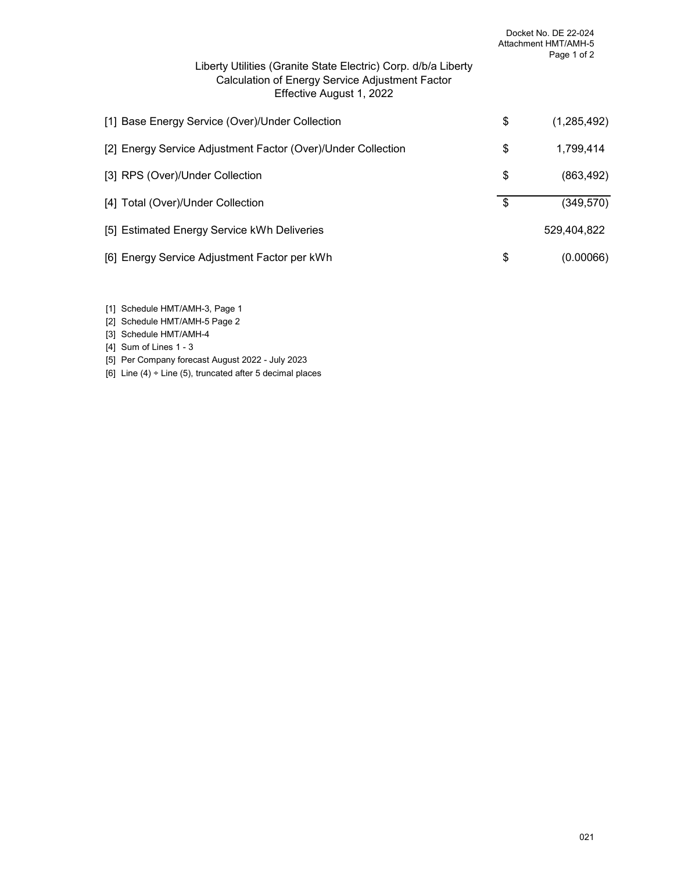| Liberty Utilities (Granite State Electric) Corp. d/b/a Liberty<br>Calculation of Energy Service Adjustment Factor<br>Effective August 1, 2022 | Docket No. DE 22-024<br>Attachment HMT/AMH-5<br>Page 1 of 2 |
|-----------------------------------------------------------------------------------------------------------------------------------------------|-------------------------------------------------------------|
| [1] Base Energy Service (Over)/Under Collection                                                                                               | \$<br>(1,285,492)                                           |
| [2] Energy Service Adjustment Factor (Over)/Under Collection                                                                                  | \$<br>1,799,414                                             |
| [3] RPS (Over)/Under Collection                                                                                                               | \$<br>(863, 492)                                            |
| [4] Total (Over)/Under Collection                                                                                                             | \$<br>(349, 570)                                            |
| [5] Estimated Energy Service kWh Deliveries                                                                                                   | 529,404,822                                                 |
| [6] Energy Service Adjustment Factor per kWh                                                                                                  | \$<br>(0.00066)                                             |

- [1] Schedule HMT/AMH-3, Page 1
- [2] Schedule HMT/AMH-5 Page 2
- [3] Schedule HMT/AMH-4
- [4] Sum of Lines 1 3
- [5] Per Company forecast August 2022 July 2023
- [6] Line  $(4) \div$  Line  $(5)$ , truncated after 5 decimal places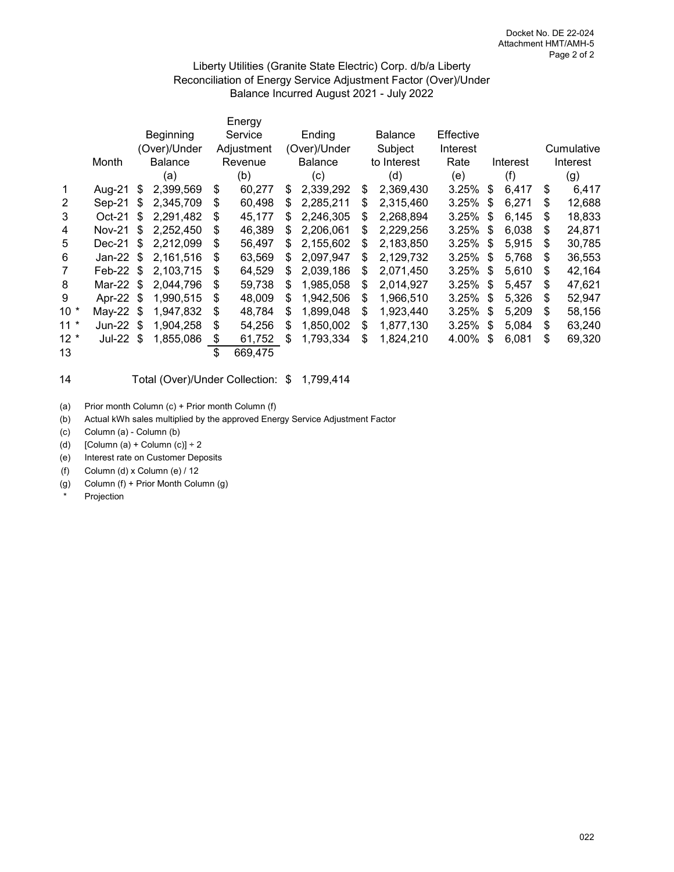### Liberty Utilities (Granite State Electric) Corp. d/b/a Liberty Reconciliation of Energy Service Adjustment Factor (Over)/Under Balance Incurred August 2021 - July 2022

|                |               |    |                |    | Energy     |    |                |                 |           |    |          |    |            |
|----------------|---------------|----|----------------|----|------------|----|----------------|-----------------|-----------|----|----------|----|------------|
|                |               |    | Beginning      |    | Service    |    | Ending         | <b>Balance</b>  | Effective |    |          |    |            |
|                |               |    | (Over)/Under   |    | Adjustment |    | (Over)/Under   | Subject         | Interest  |    |          |    | Cumulative |
|                | Month         |    | <b>Balance</b> |    | Revenue    |    | <b>Balance</b> | to Interest     | Rate      |    | Interest |    | Interest   |
|                |               |    | (a)            |    | (b)        |    | (c)            | (d)             | (e)       |    | (f)      |    | (g)        |
| 1              | Aug-21        | S  | 2,399,569      | \$ | 60,277     | S  | 2,339,292      | \$<br>2,369,430 | 3.25%     | \$ | 6,417    | S  | 6,417      |
| 2              | Sep-21        | \$ | 2,345,709      | \$ | 60,498     | S  | 2,285,211      | \$<br>2,315,460 | 3.25%     | S  | 6,271    | S  | 12,688     |
| 3              | $Oct-21$      | \$ | 2,291,482      | \$ | 45,177     | \$ | 2,246,305      | \$<br>2,268,894 | 3.25%     | \$ | 6,145    | S  | 18,833     |
| 4              | <b>Nov-21</b> | \$ | 2,252,450      | \$ | 46,389     | \$ | 2,206,061      | \$<br>2,229,256 | 3.25%     | \$ | 6,038    | S  | 24,871     |
| 5              | Dec-21        | \$ | 2,212,099      | \$ | 56,497     | \$ | 2,155,602      | \$<br>2,183,850 | 3.25%     | \$ | 5,915    | S  | 30,785     |
| 6              | Jan-22        | \$ | 2,161,516      | S  | 63,569     | S  | 2,097,947      | \$<br>2,129,732 | 3.25%     | S  | 5,768    | S  | 36,553     |
| $\overline{7}$ | Feb-22        | \$ | 2,103,715      | S  | 64,529     | S  | 2,039,186      | \$<br>2,071,450 | 3.25%     | \$ | 5,610    | S  | 42,164     |
| 8              | Mar-22 \$     |    | 2.044.796      | \$ | 59,738     | \$ | 1,985,058      | \$<br>2,014,927 | 3.25%     | \$ | 5,457    | S  | 47,621     |
| 9              | Apr-22        | \$ | 1,990,515      | \$ | 48,009     | S  | 1,942,506      | \$<br>1,966,510 | 3.25%     | \$ | 5,326    | S  | 52,947     |
| $10*$          | $May-22$      | S  | 1,947,832      | \$ | 48,784     | S  | 1,899,048      | \$<br>1,923,440 | 3.25%     | S  | 5,209    | \$ | 58,156     |
| $11 *$         | <b>Jun-22</b> | \$ | 1,904,258      | S  | 54,256     | \$ | 1,850,002      | \$<br>1,877,130 | 3.25%     | S  | 5,084    | S  | 63,240     |
| $12 *$         | <b>Jul-22</b> | \$ | 1,855,086      | \$ | 61,752     | \$ | 1,793,334      | \$<br>1,824,210 | 4.00%     | \$ | 6,081    | \$ | 69,320     |
| 13             |               |    |                | \$ | 669,475    |    |                |                 |           |    |          |    |            |

#### 14 Total (Over)/Under Collection: \$ 1,799,414

(a) Prior month Column (c) + Prior month Column (f)

(b) Actual kWh sales multiplied by the approved Energy Service Adjustment Factor

(c) Column (a) - Column (b)

(d)  $[Column (a) + Column (c)] \div 2$ 

(e) Interest rate on Customer Deposits

(f) Column (d) x Column (e) / 12

(g) Column (f) + Prior Month Column (g)

Projection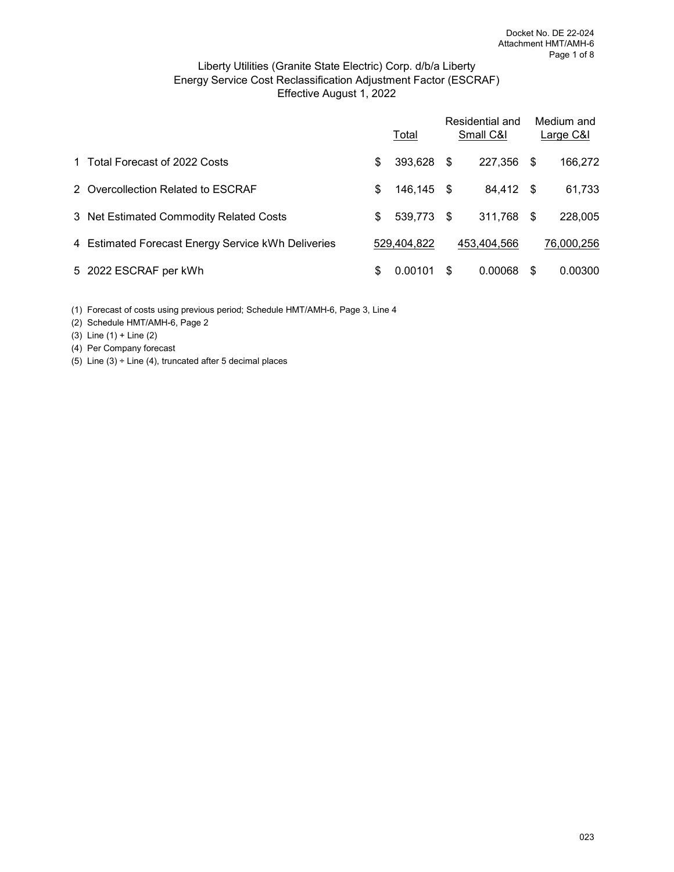### Effective August 1, 2022 Liberty Utilities (Granite State Electric) Corp. d/b/a Liberty Energy Service Cost Reclassification Adjustment Factor (ESCRAF)

|                                                    | Total            |   | Residential and<br>Small C&I |      | Medium and<br>Large C&I |
|----------------------------------------------------|------------------|---|------------------------------|------|-------------------------|
| 1 Total Forecast of 2022 Costs                     | \$<br>393,628 \$ |   | 227,356                      | - \$ | 166,272                 |
| 2 Overcollection Related to ESCRAF                 | \$<br>146,145 \$ |   | 84,412 \$                    |      | 61,733                  |
| 3 Net Estimated Commodity Related Costs            | \$<br>539,773 \$ |   | 311,768 \$                   |      | 228,005                 |
| 4 Estimated Forecast Energy Service kWh Deliveries | 529,404,822      |   | 453.404.566                  |      | 76,000,256              |
| 5 2022 ESCRAF per kWh                              | \$<br>0.00101    | S | 0.00068                      | S    | 0.00300                 |

(1) Forecast of costs using previous period; Schedule HMT/AMH-6, Page 3, Line 4

(2) Schedule HMT/AMH-6, Page 2

(3) Line (1) + Line (2)

(4) Per Company forecast

(5) Line  $(3)$  ÷ Line  $(4)$ , truncated after 5 decimal places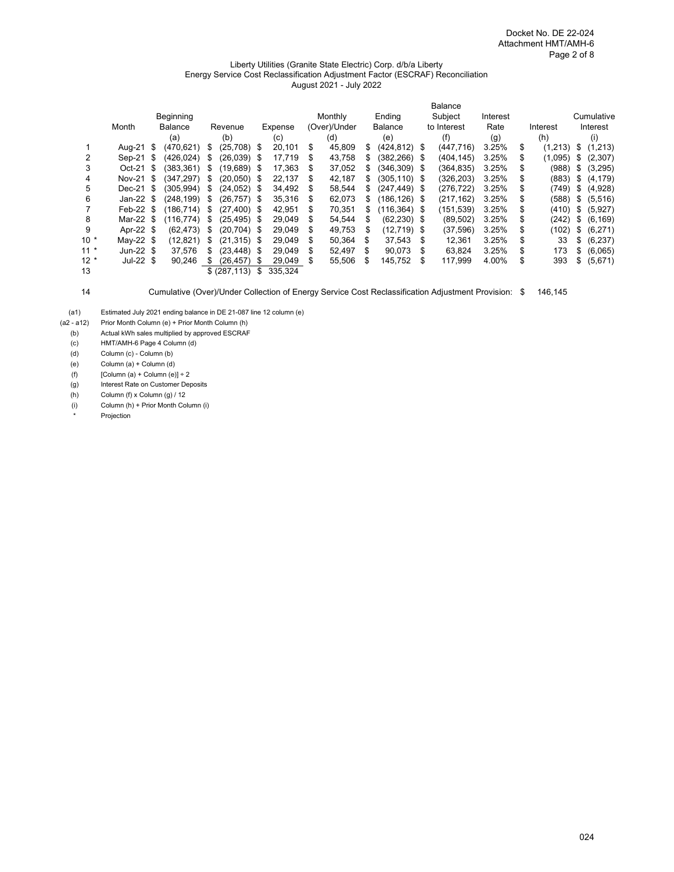#### Liberty Utilities (Granite State Electric) Corp. d/b/a Liberty Energy Service Cost Reclassification Adjustment Factor (ESCRAF) Reconciliation August 2021 - July 2022

|        |            |      |                |    |                |      |         |    |              |    |                 |    | <b>Balance</b> |          |    |          |    |            |
|--------|------------|------|----------------|----|----------------|------|---------|----|--------------|----|-----------------|----|----------------|----------|----|----------|----|------------|
|        |            |      | Beginning      |    |                |      |         |    | Monthly      |    | Ending          |    | Subject        | Interest |    |          |    | Cumulative |
|        | Month      |      | <b>Balance</b> |    | Revenue        |      | Expense |    | (Over)/Under |    | <b>Balance</b>  |    | to Interest    | Rate     |    | Interest |    | Interest   |
|        |            |      | (a)            |    | (b)            |      | (c)     |    | (d)          |    | (e)             |    | (f)            | (g)      |    | (h)      |    | (i)        |
|        | Aug-21 \$  |      | (470,621)      | S  | (25,708) \$    |      | 20,101  | \$ | 45,809       | S. | $(424, 812)$ \$ |    | (447, 716)     | 3.25%    | S  | (1,213)  | \$ | (1,213)    |
| 2      | Sep-21     | - \$ | (426.024)      | S  | (26,039) \$    |      | 17.719  | S  | 43,758       | S  | (382.266) \$    |    | (404, 145)     | 3.25%    | \$ | (1,095)  | S  | (2,307)    |
| 3      | $Oct-21$   | - \$ | (383.361)      | \$ | $(19.689)$ \$  |      | 17,363  | S  | 37,052       | S  | (346.309) \$    |    | (364,835)      | 3.25%    | S  | (988)    | S  | (3,295)    |
| 4      | Nov-21 \$  |      | (347.297)      | \$ | $(20.050)$ \$  |      | 22.137  | S  | 42.187       | \$ | (305.110) \$    |    | (326,203)      | 3.25%    |    | (883)    | \$ | (4, 179)   |
| 5      | Dec-21 \$  |      | (305.994)      | \$ | $(24,052)$ \$  |      | 34,492  | S  | 58.544       | \$ | $(247.449)$ \$  |    | (276, 722)     | 3.25%    | \$ | (749)    | \$ | (4,928)    |
| 6      | Jan-22 $$$ |      | (248,199)      | \$ | $(26, 757)$ \$ |      | 35,316  | S  | 62,073       | S  | (186,126) \$    |    | (217, 162)     | 3.25%    | S  | (588)    | \$ | (5,516)    |
|        | Feb-22 $$$ |      | (186.714)      | S  | $(27, 400)$ \$ |      | 42,951  | S  | 70,351       | S  | (116,364) \$    |    | (151,539)      | 3.25%    | \$ | (410)    | S  | (5,927)    |
| 8      | Mar-22 \$  |      | (116.774)      | \$ | $(25.495)$ \$  |      | 29.049  | S  | 54.544       | \$ | $(62, 230)$ \$  |    | (89, 502)      | 3.25%    | \$ | (242)    | \$ | (6, 169)   |
| 9      | Apr-22 \$  |      | (62, 473)      | \$ | $(20, 704)$ \$ |      | 29.049  | \$ | 49,753       | \$ | (12,719) \$     |    | (37,596)       | 3.25%    | \$ | (102)    | \$ | (6,271)    |
| $10 *$ | May-22 $$$ |      | (12,821)       | \$ | $(21, 315)$ \$ |      | 29,049  | \$ | 50,364       | \$ | 37.543          | \$ | 12.361         | 3.25%    | \$ | 33       | \$ | (6, 237)   |
| $11 *$ | Jun-22 $$$ |      | 37.576         | S. | (23, 448)      | - \$ | 29.049  | S  | 52,497       | S  | 90.073          | -S | 63,824         | 3.25%    | \$ | 173      | S  | (6,065)    |
| $12 *$ | Jul-22 $$$ |      | 90.246         | S  | (26, 457)      | S    | 29.049  | \$ | 55,506       | \$ | 145,752         | \$ | 117,999        | 4.00%    | \$ | 393      | \$ | (5,671)    |
| 13     |            |      |                |    | \$ (287, 113)  | \$   | 335.324 |    |              |    |                 |    |                |          |    |          |    |            |

14 Cumulative (Over)/Under Collection of Energy Service Cost Reclassification Adjustment Provision: \$ 146,145

(a1) Estimated July 2021 ending balance in DE 21-087 line 12 column (e)<br>(a2 - a12) Prior Month Column (e) + Prior Month Column (h)

Prior Month Column (e) + Prior Month Column (h)

(b) Actual kWh sales multiplied by approved ESCRAF<br>(c) HMT/AMH-6 Page 4 Column (d)

HMT/AMH-6 Page 4 Column (d)

(d) Column (c) - Column (b)

(e) Column (a) + Column (d)

(f)  $[Column (a) + Column (e)] \div 2$ 

(g) Interest Rate on Customer Deposits

(h) Column (f) x Column (g) / 12

(i) Column (h) + Prior Month Column (i)

Projection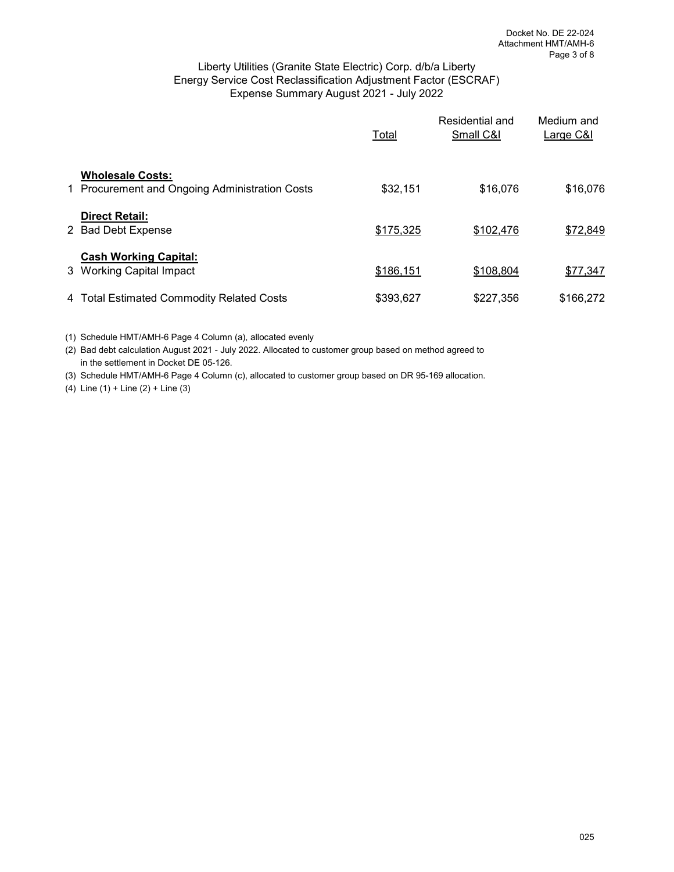# Liberty Utilities (Granite State Electric) Corp. d/b/a Liberty Energy Service Cost Reclassification Adjustment Factor (ESCRAF) Expense Summary August 2021 - July 2022

|                                                                           | Total     | Residential and<br>Small C&I | Medium and<br>Large C&I |
|---------------------------------------------------------------------------|-----------|------------------------------|-------------------------|
| <b>Wholesale Costs:</b><br>1 Procurement and Ongoing Administration Costs | \$32,151  | \$16,076                     | \$16,076                |
| <b>Direct Retail:</b><br>2 Bad Debt Expense                               | \$175,325 | \$102,476                    | \$72,849                |
| <b>Cash Working Capital:</b><br>3 Working Capital Impact                  | \$186,151 | \$108,804                    | \$77,347                |
| 4 Total Estimated Commodity Related Costs                                 | \$393,627 | \$227,356                    | \$166,272               |

(1) Schedule HMT/AMH-6 Page 4 Column (a), allocated evenly

(2) Bad debt calculation August 2021 - July 2022. Allocated to customer group based on method agreed to in the settlement in Docket DE 05-126.

(3) Schedule HMT/AMH-6 Page 4 Column (c), allocated to customer group based on DR 95-169 allocation.

(4) Line (1) + Line (2) + Line (3)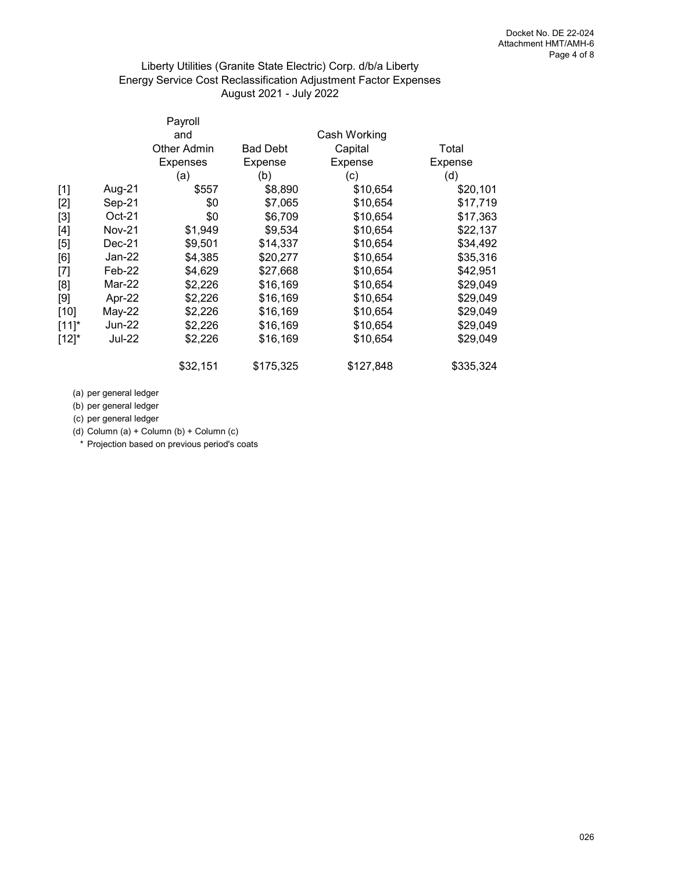# Liberty Utilities (Granite State Electric) Corp. d/b/a Liberty Energy Service Cost Reclassification Adjustment Factor Expenses August 2021 - July 2022

|               | Payroll            |                 |              |           |
|---------------|--------------------|-----------------|--------------|-----------|
|               | and                |                 | Cash Working |           |
|               | <b>Other Admin</b> | <b>Bad Debt</b> | Capital      | Total     |
|               | Expenses           | Expense         | Expense      | Expense   |
|               | (a)                | (b)             | (c)          | (d)       |
| Aug-21        | \$557              | \$8,890         | \$10,654     | \$20,101  |
| Sep-21        | \$0                | \$7,065         | \$10,654     | \$17,719  |
| $Oct-21$      | \$0                | \$6,709         | \$10,654     | \$17,363  |
| Nov-21        | \$1,949            | \$9,534         | \$10,654     | \$22,137  |
| Dec-21        | \$9,501            | \$14,337        | \$10,654     | \$34,492  |
| Jan-22        | \$4,385            | \$20,277        | \$10,654     | \$35,316  |
| Feb-22        | \$4,629            | \$27,668        | \$10,654     | \$42,951  |
| Mar-22        | \$2,226            | \$16,169        | \$10,654     | \$29,049  |
| Apr-22        | \$2,226            | \$16,169        | \$10,654     | \$29,049  |
| $May-22$      | \$2,226            | \$16,169        | \$10,654     | \$29,049  |
| Jun-22        | \$2,226            | \$16,169        | \$10,654     | \$29,049  |
| <b>Jul-22</b> | \$2,226            | \$16,169        | \$10,654     | \$29,049  |
|               | \$32,151           | \$175,325       | \$127,848    | \$335,324 |
|               |                    |                 |              |           |

(a) per general ledger

(b) per general ledger

(c) per general ledger

(d) Column (a) + Column (b) + Column (c)

\* Projection based on previous period's coats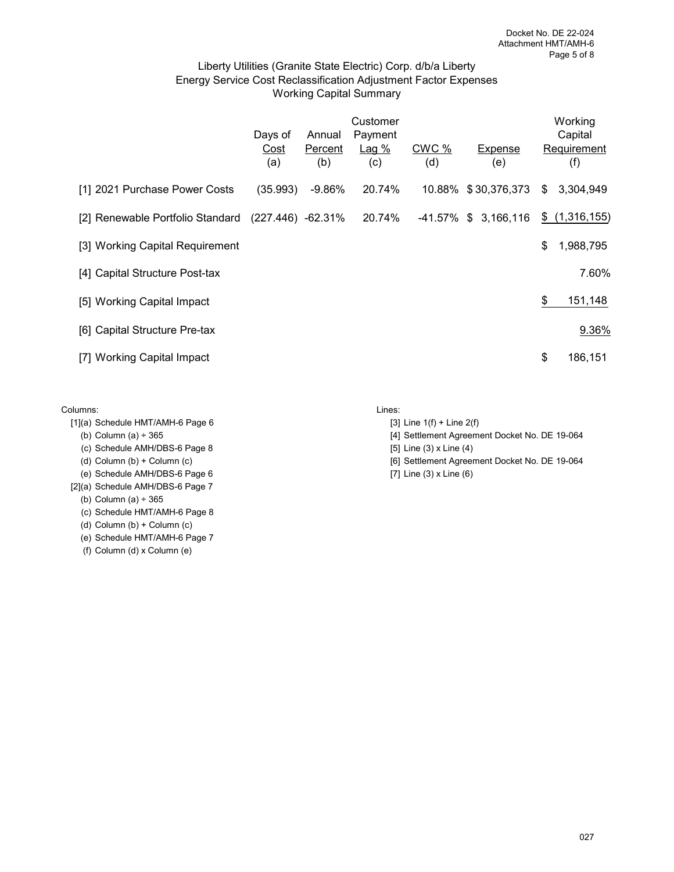# Liberty Utilities (Granite State Electric) Corp. d/b/a Liberty Energy Service Cost Reclassification Adjustment Factor Expenses Working Capital Summary

|                                                    | Days of<br>Cost<br>(a) | Annual<br>Percent<br>(b) | Customer<br>Payment<br>Lag%<br>(c) | CWC %<br>(d) | Expense<br>(e)       | Working<br>Capital<br>Requirement<br>(f) |
|----------------------------------------------------|------------------------|--------------------------|------------------------------------|--------------|----------------------|------------------------------------------|
| [1] 2021 Purchase Power Costs                      | (35.993)               | -9.86%                   | 20.74%                             |              | 10.88% \$30,376,373  | \$<br>3,304,949                          |
| [2] Renewable Portfolio Standard (227.446) -62.31% |                        |                          | 20.74%                             |              | -41.57% \$ 3,166,116 | \$(1,316,155)                            |
| [3] Working Capital Requirement                    |                        |                          |                                    |              |                      | \$<br>1,988,795                          |
| [4] Capital Structure Post-tax                     |                        |                          |                                    |              |                      | 7.60%                                    |
| [5] Working Capital Impact                         |                        |                          |                                    |              |                      | \$<br>151,148                            |
| [6] Capital Structure Pre-tax                      |                        |                          |                                    |              |                      | 9.36%                                    |
| [7] Working Capital Impact                         |                        |                          |                                    |              |                      | \$<br>186,151                            |

#### Columns: Lines:

- $[1]$ (a) Schedule HMT/AMH-6 Page 6 [3] Line 1(f) + Line 2(f)
	-
	- (c) Schedule AMH/DBS-6 Page 8  $[5]$  Line (3) x Line (4)
	-
- (e) Schedule AMH/DBS-6 Page 6  $[7]$  Line (3) x Line (6)
- [2](a) Schedule AMH/DBS-6 Page 7

(b) Column (a) ÷ 365

- (c) Schedule HMT/AMH-6 Page 8
- (d) Column (b) + Column (c)
- (e) Schedule HMT/AMH-6 Page 7
- (f) Column (d) x Column (e)

- 
- (b) Column (a) ÷ 365 [4] Settlement Agreement Docket No. DE 19-064
	-
- (d) Column (b) + Column (c) **[6] Settlement Agreement Docket No. DE 19-064** 
	-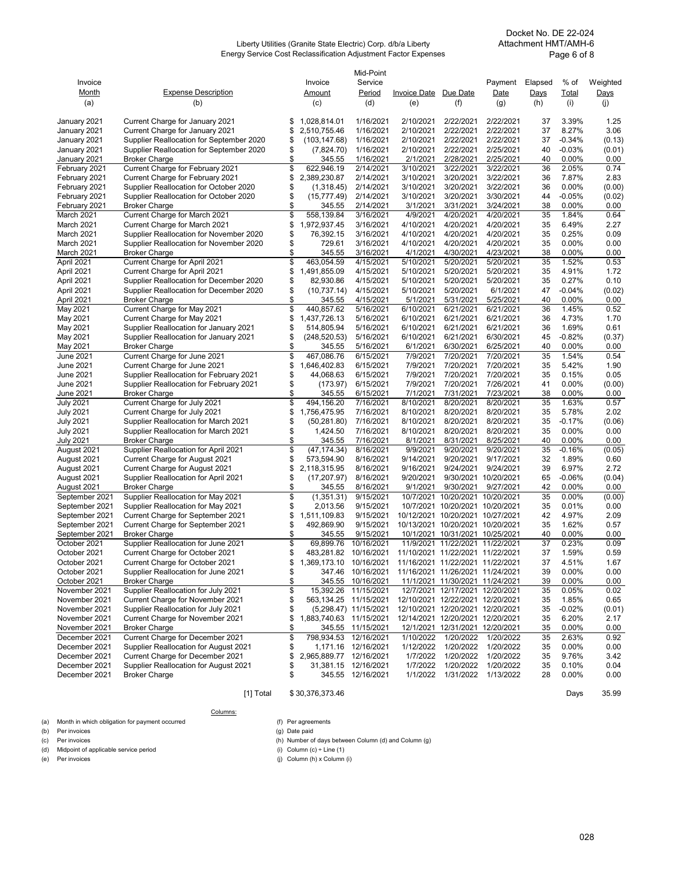#### Liberty Utilities (Granite State Electric) Corp. d/b/a Liberty Energy Service Cost Reclassification Adjustment Factor Expenses

Docket No. DE 22-024 Attachment HMT/AMH-6 Page 6 of 8

|                               |                                                                    |          |                              | Mid-Point              |                       |                                  |                         |          |                |                |
|-------------------------------|--------------------------------------------------------------------|----------|------------------------------|------------------------|-----------------------|----------------------------------|-------------------------|----------|----------------|----------------|
| Invoice                       |                                                                    |          | Invoice                      | Service                |                       |                                  | Payment                 | Elapsed  | % of           | Weighted       |
| <b>Month</b>                  | <b>Expense Description</b>                                         |          | Amount                       | Period                 | Invoice Date          | Due Date                         | Date                    | Days     | Total          | Days           |
| (a)                           | (b)                                                                |          | (c)                          | (d)                    | (e)                   | (f)                              | (g)                     | (h)      | (i)            | (i)            |
|                               |                                                                    |          |                              | 1/16/2021              | 2/10/2021             | 2/22/2021                        | 2/22/2021               | 37       | 3.39%          | 1.25           |
| January 2021<br>January 2021  | Current Charge for January 2021<br>Current Charge for January 2021 | \$<br>\$ | 1,028,814.01<br>2.510.755.46 | 1/16/2021              | 2/10/2021             | 2/22/2021                        | 2/22/2021               | 37       | 8.27%          | 3.06           |
| January 2021                  | Supplier Reallocation for September 2020                           | \$       | (103, 147.68)                | 1/16/2021              | 2/10/2021             | 2/22/2021                        | 2/22/2021               | 37       | $-0.34%$       | (0.13)         |
| January 2021                  | Supplier Reallocation for September 2020                           | \$       | (7,824.70)                   | 1/16/2021              | 2/10/2021             | 2/22/2021                        | 2/25/2021               | 40       | $-0.03%$       | (0.01)         |
| January 2021                  | <b>Broker Charge</b>                                               | \$       | 345.55                       | 1/16/2021              | 2/1/2021              | 2/28/2021                        | 2/25/2021               | 40       | 0.00%          | 0.00           |
| February 2021                 | Current Charge for February 2021                                   | \$       | 622,946.19                   | 2/14/2021              | 3/10/2021             | 3/22/2021                        | 3/22/2021               | 36       | 2.05%          | 0.74           |
| February 2021                 | Current Charge for February 2021                                   | \$       | 2,389,230.87                 | 2/14/2021              | 3/10/2021             | 3/20/2021                        | 3/22/2021               | 36       | 7.87%          | 2.83           |
| February 2021                 | Supplier Reallocation for October 2020                             | \$       | (1,318.45)                   | 2/14/2021              | 3/10/2021             | 3/20/2021                        | 3/22/2021               | 36       | 0.00%          | (0.00)         |
| February 2021                 | Supplier Reallocation for October 2020                             | \$       | (15, 777.49)                 | 2/14/2021              | 3/10/2021             | 3/20/2021                        | 3/30/2021               | 44       | $-0.05%$       | (0.02)         |
| February 2021                 | <b>Broker Charge</b>                                               | \$       | 345.55                       | 2/14/2021              | 3/1/2021              | 3/31/2021                        | 3/24/2021               | 38       | 0.00%          | 0.00           |
| March 2021                    | Current Charge for March 2021                                      | \$       | 558,139.84                   | 3/16/2021              | 4/9/2021              | 4/20/2021                        | 4/20/2021               | 35       | 1.84%          | 0.64           |
| March 2021                    | Current Charge for March 2021                                      | \$       | 1,972,937.45                 | 3/16/2021              | 4/10/2021             | 4/20/2021                        | 4/20/2021               | 35       | 6.49%          | 2.27           |
| March 2021                    | Supplier Reallocation for November 2020                            | \$       | 76,392.15                    | 3/16/2021              | 4/10/2021             | 4/20/2021                        | 4/20/2021               | 35       | 0.25%          | 0.09           |
| March 2021                    | Supplier Reallocation for November 2020                            | \$       | 729.61                       | 3/16/2021              | 4/10/2021             | 4/20/2021                        | 4/20/2021               | 35       | 0.00%          | 0.00           |
| March 2021                    | <b>Broker Charge</b>                                               | \$       | 345.55                       | 3/16/2021              | 4/1/2021              | 4/30/2021                        | 4/23/2021               | 38       | 0.00%          | 0.00           |
| April 2021                    | Current Charge for April 2021                                      | \$       | 463,054.59                   | 4/15/2021              | 5/10/2021             | 5/20/2021                        | 5/20/2021               | 35       | 1.52%          | 0.53           |
| April 2021                    | Current Charge for April 2021                                      | \$       | 1,491,855.09                 | 4/15/2021              | 5/10/2021             | 5/20/2021                        | 5/20/2021               | 35       | 4.91%          | 1.72           |
| April 2021                    | Supplier Reallocation for December 2020                            | \$       | 82,930.86                    | 4/15/2021              | 5/10/2021             | 5/20/2021                        | 5/20/2021               | 35       | 0.27%          | 0.10           |
| April 2021                    | Supplier Reallocation for December 2020                            | \$       | (10, 737.14)                 | 4/15/2021              | 5/10/2021             | 5/20/2021                        | 6/1/2021                | 47       | $-0.04%$       | (0.02)         |
| April 2021                    | <b>Broker Charge</b>                                               | \$       | 345.55                       | 4/15/2021              | 5/1/2021              | 5/31/2021                        | 5/25/2021               | 40       | 0.00%          | 0.00           |
| May 2021                      | Current Charge for May 2021                                        | \$       | 440,857.62                   | 5/16/2021              | 6/10/2021             | 6/21/2021                        | 6/21/2021               | 36       | 1.45%          | 0.52           |
| May 2021                      | Current Charge for May 2021                                        | \$       | 1,437,726.13                 | 5/16/2021              | 6/10/2021             | 6/21/2021                        | 6/21/2021               | 36       | 4.73%          | 1.70           |
| May 2021                      | Supplier Reallocation for January 2021                             | \$       | 514,805.94                   | 5/16/2021              | 6/10/2021             | 6/21/2021                        | 6/21/2021               | 36       | 1.69%          | 0.61           |
| May 2021                      | Supplier Reallocation for January 2021                             | \$       | (248, 520.53)                | 5/16/2021              | 6/10/2021             | 6/21/2021                        | 6/30/2021               | 45       | $-0.82%$       | (0.37)         |
| May 2021                      | <b>Broker Charge</b>                                               | \$       | 345.55                       | 5/16/2021              | 6/1/2021              | 6/30/2021                        | 6/25/2021               | 40       | 0.00%          | 0.00           |
| June 2021                     | Current Charge for June 2021                                       | \$       | 467,086.76                   | 6/15/2021              | 7/9/2021              | 7/20/2021                        | 7/20/2021               | 35       | 1.54%          | 0.54           |
| June 2021                     | Current Charge for June 2021                                       | \$       | 1,646,402.83                 | 6/15/2021              | 7/9/2021              | 7/20/2021                        | 7/20/2021               | 35       | 5.42%          | 1.90           |
| June 2021                     | Supplier Reallocation for February 2021                            | \$       | 44,068.63                    | 6/15/2021              | 7/9/2021              | 7/20/2021                        | 7/20/2021               | 35       | 0.15%          | 0.05           |
| June 2021                     | Supplier Reallocation for February 2021                            | \$       | (173.97)                     | 6/15/2021              | 7/9/2021              | 7/20/2021                        | 7/26/2021               | 41       | $0.00\%$       | (0.00)         |
| <b>June 2021</b>              | <b>Broker Charge</b>                                               | \$       | 345.55                       | 6/15/2021              | 7/1/2021              | 7/31/2021                        | 7/23/2021               | 38       | 0.00%          | 0.00           |
| <b>July 2021</b>              | Current Charge for July 2021                                       | \$       | 494,156.20                   | 7/16/2021              | 8/10/2021             | 8/20/2021                        | 8/20/2021               | 35       | 1.63%          | 0.57           |
| <b>July 2021</b>              | Current Charge for July 2021                                       | \$       | 1,756,475.95                 | 7/16/2021              | 8/10/2021             | 8/20/2021                        | 8/20/2021               | 35       | 5.78%          | 2.02           |
| <b>July 2021</b>              | Supplier Reallocation for March 2021                               | \$       | (50, 281.80)                 | 7/16/2021              | 8/10/2021             | 8/20/2021                        | 8/20/2021               | 35       | $-0.17%$       | (0.06)         |
| <b>July 2021</b>              | Supplier Reallocation for March 2021                               | \$       | 1,424.50                     | 7/16/2021              | 8/10/2021             | 8/20/2021                        | 8/20/2021               | 35       | 0.00%          | 0.00           |
| July 2021                     | <b>Broker Charge</b>                                               | \$       | 345.55                       | 7/16/2021              | 8/1/2021              | 8/31/2021                        | 8/25/2021               | 40       | 0.00%          | 0.00           |
| August 2021                   | Supplier Reallocation for April 2021                               | \$       | (47, 174.34)                 | 8/16/2021              | 9/9/2021              | 9/20/2021                        | 9/20/2021               | 35       | -0.16%         | (0.05)         |
| August 2021                   | Current Charge for August 2021                                     | \$       | 573,594.90                   | 8/16/2021              | 9/14/2021             | 9/20/2021                        | 9/17/2021               | 32       | 1.89%          | 0.60           |
| August 2021                   | Current Charge for August 2021                                     | \$       | 2,118,315.95                 | 8/16/2021              | 9/16/2021             | 9/24/2021                        | 9/24/2021               | 39       | 6.97%          | 2.72           |
| August 2021                   | Supplier Reallocation for April 2021                               | \$<br>\$ | (17, 207.97)                 | 8/16/2021              | 9/20/2021             |                                  | 9/30/2021 10/20/2021    | 65<br>42 | $-0.06%$       | (0.04)         |
| August 2021<br>September 2021 | <b>Broker Charge</b><br>Supplier Reallocation for May 2021         | \$       | 345.55<br>(1,351.31)         | 8/16/2021<br>9/15/2021 | 9/1/2021<br>10/7/2021 | 9/30/2021<br>10/20/2021          | 9/27/2021<br>10/20/2021 | 35       | 0.00%<br>0.00% | 0.00<br>(0.00) |
| September 2021                | Supplier Reallocation for May 2021                                 | \$       | 2,013.56                     | 9/15/2021              |                       | 10/7/2021 10/20/2021 10/20/2021  |                         | 35       | 0.01%          | 0.00           |
| September 2021                | Current Charge for September 2021                                  | \$       | 1,511,109.83                 | 9/15/2021              |                       | 10/12/2021 10/20/2021 10/27/2021 |                         | 42       | 4.97%          | 2.09           |
| September 2021                | Current Charge for September 2021                                  | \$       | 492,869.90                   | 9/15/2021              |                       | 10/13/2021 10/20/2021 10/20/2021 |                         | 35       | 1.62%          | 0.57           |
| September 2021                | <b>Broker Charge</b>                                               | \$       | 345.55                       | 9/15/2021              |                       | 10/1/2021 10/31/2021 10/25/2021  |                         | 40       | 0.00%          | 0.00           |
| October 2021                  | Supplier Reallocation for June 2021                                | \$       | 69.899.76                    | 10/16/2021             |                       | 11/9/2021 11/22/2021 11/22/2021  |                         | 37       | 0.23%          | 0.09           |
| October 2021                  | Current Charge for October 2021                                    | \$       | 483,281.82                   | 10/16/2021             |                       | 11/10/2021 11/22/2021 11/22/2021 |                         | 37       | 1.59%          | 0.59           |
| October 2021                  | Current Charge for October 2021                                    | \$       | 1,369,173.10 10/16/2021      |                        |                       | 11/16/2021 11/22/2021 11/22/2021 |                         | 37       | 4.51%          | 1.67           |
| October 2021                  | Supplier Reallocation for June 2021                                | \$       |                              | 347.46 10/16/2021      |                       | 11/16/2021 11/26/2021 11/24/2021 |                         | 39       | 0.00%          | 0.00           |
| October 2021                  | <b>Broker Charge</b>                                               | \$       | 345.55                       | 10/16/2021             |                       | 11/1/2021 11/30/2021 11/24/2021  |                         | 39       | 0.00%          | 0.00           |
| November 2021                 | Supplier Reallocation for July 2021                                | \$       |                              | 15,392.26 11/15/2021   |                       | 12/7/2021 12/17/2021 12/20/2021  |                         | 35       | 0.05%          | 0.02           |
| November 2021                 | Current Charge for November 2021                                   | \$       | 563, 134. 25 11/15/2021      |                        |                       | 12/10/2021 12/22/2021 12/20/2021 |                         | 35       | 1.85%          | 0.65           |
| November 2021                 | Supplier Reallocation for July 2021                                | \$       |                              | (5,298.47) 11/15/2021  |                       | 12/10/2021 12/20/2021 12/20/2021 |                         | 35       | $-0.02%$       | (0.01)         |
| November 2021                 | Current Charge for November 2021                                   | \$       | 1,883,740.63 11/15/2021      |                        |                       | 12/14/2021 12/20/2021 12/20/2021 |                         | 35       | 6.20%          | 2.17           |
| November 2021                 | <b>Broker Charge</b>                                               | \$       |                              | 345.55 11/15/2021      |                       | 12/1/2021 12/31/2021 12/20/2021  |                         | 35       | 0.00%          | 0.00           |
| December 2021                 | Current Charge for December 2021                                   | \$       | 798,934.53 12/16/2021        |                        | 1/10/2022             | 1/20/2022                        | 1/20/2022               | 35       | 2.63%          | 0.92           |
| December 2021                 | Supplier Reallocation for August 2021                              | \$       |                              | 1,171.16 12/16/2021    | 1/12/2022             | 1/20/2022                        | 1/20/2022               | 35       | 0.00%          | 0.00           |
| December 2021                 | Current Charge for December 2021                                   | \$       | 2,965,889.77 12/16/2021      |                        | 1/7/2022              | 1/20/2022                        | 1/20/2022               | 35       | 9.76%          | 3.42           |
| December 2021                 | Supplier Reallocation for August 2021                              | \$       |                              | 31,381.15 12/16/2021   | 1/7/2022              | 1/20/2022                        | 1/20/2022               | 35       | 0.10%          | 0.04           |
| December 2021                 | <b>Broker Charge</b>                                               | \$       |                              | 345.55 12/16/2021      | 1/1/2022              | 1/31/2022                        | 1/13/2022               | 28       | $0.00\%$       | 0.00           |

# (a) Month in which obligation for payment occurred  $(5)$  Per agreements (b) Per invoices (g) Date paid

(b) Per invoices

(c) Per invoices (c) Per invoices (d) Mumber of days between Column (d) and Column (g) (d) Mumber of days between Column (d) and Column (g) (d) Mumber of days between Column (d) and Column (g) (d) Midpoint of applicable service period<br>(e) Per invoices

[1] Total \$ 30,376,373.46 Days 35.99

 $(i)$  Column  $(h)$  x Column  $(i)$ 

Columns: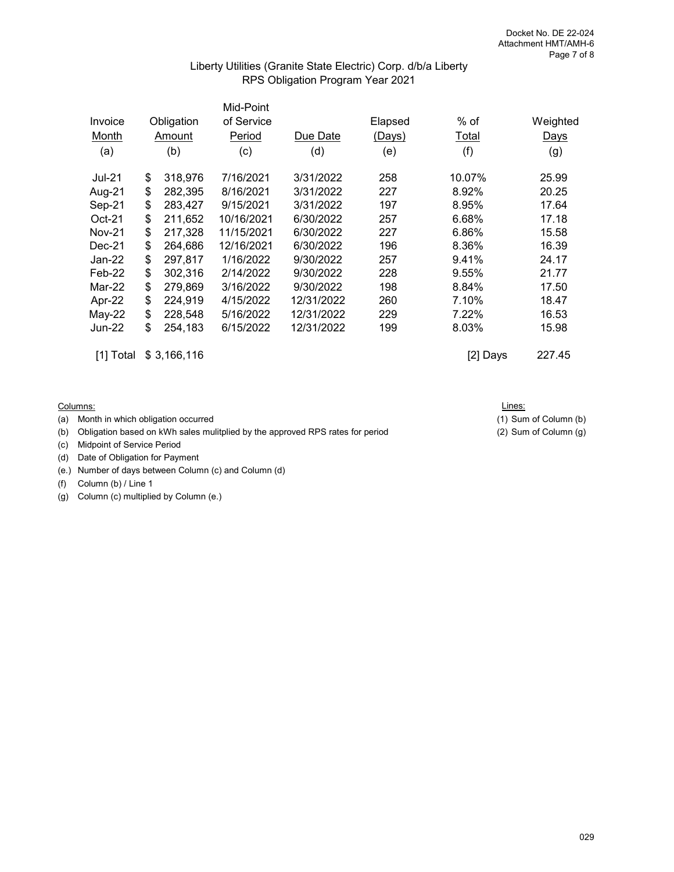#### Liberty Utilities (Granite State Electric) Corp. d/b/a Liberty RPS Obligation Program Year 2021

|               |                             |         | Mid-Point  |            |         |        |                  |
|---------------|-----------------------------|---------|------------|------------|---------|--------|------------------|
| Invoice       | Obligation<br>Amount<br>(b) |         | of Service |            | Elapsed | $%$ of | Weighted<br>Days |
| Month         |                             |         | Period     | Due Date   | (Days)  | Total  |                  |
| (a)           |                             |         | (c)        | (d)        | (e)     | (f)    | (g)              |
| <b>Jul-21</b> | \$                          | 318,976 | 7/16/2021  | 3/31/2022  | 258     | 10.07% | 25.99            |
| Aug-21        | \$                          | 282,395 | 8/16/2021  | 3/31/2022  | 227     | 8.92%  | 20.25            |
| Sep-21        | \$                          | 283,427 | 9/15/2021  | 3/31/2022  | 197     | 8.95%  | 17.64            |
| $Oct-21$      | \$                          | 211,652 | 10/16/2021 | 6/30/2022  | 257     | 6.68%  | 17.18            |
| <b>Nov-21</b> | \$                          | 217,328 | 11/15/2021 | 6/30/2022  | 227     | 6.86%  | 15.58            |
| $Dec-21$      | \$                          | 264,686 | 12/16/2021 | 6/30/2022  | 196     | 8.36%  | 16.39            |
| $Jan-22$      | \$                          | 297,817 | 1/16/2022  | 9/30/2022  | 257     | 9.41%  | 24.17            |
| $Feb-22$      | \$                          | 302,316 | 2/14/2022  | 9/30/2022  | 228     | 9.55%  | 21.77            |
| Mar-22        | \$                          | 279,869 | 3/16/2022  | 9/30/2022  | 198     | 8.84%  | 17.50            |
| Apr-22        | \$                          | 224,919 | 4/15/2022  | 12/31/2022 | 260     | 7.10%  | 18.47            |
| May-22        | \$                          | 228,548 | 5/16/2022  | 12/31/2022 | 229     | 7.22%  | 16.53            |
| <b>Jun-22</b> | \$                          | 254,183 | 6/15/2022  | 12/31/2022 | 199     | 8.03%  | 15.98            |
|               |                             |         |            |            |         |        |                  |

[1] Total \$ 3,166,116 [2] Days 227.45

Columns:

(a) Month in which obligation occurred (1) Sum of Column (b)

(b) Obligation based on kWh sales mulitplied by the approved RPS rates for period (2) Sum of Column (g)

(c) Midpoint of Service Period

- (d) Date of Obligation for Payment
- (e.) Number of days between Column (c) and Column (d)

(f) Column (b) / Line 1

(g) Column (c) multiplied by Column (e.)

Lines: